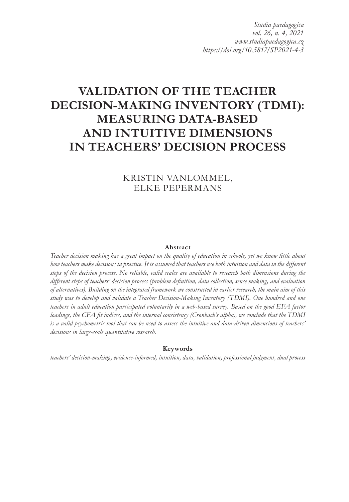*Studia paedagogica vol. 26, n. 4, 2021 www.studiapaedagogica.cz https://doi.org/10.5817/SP2021-4-3*

# **VALIDATION OF THE TEACHER DECISION-MAKING INVENTORY (TDMI): MEASURING DATA-BASED AND INTUITIVE DIMENSIONS IN TEACHERS' DECISION PROCESS**

# KRISTIN VANLOMMEL, ELKE PEPERMANS

#### **Abstract**

*Teacher decision making has a great impact on the quality of education in schools, yet we know little about how teachers make decisions in practice. It is assumed that teachers use both intuition and data in the different steps of the decision process. No reliable, valid scales are available to research both dimensions during the different steps of teachers' decision process (problem definition, data collection, sense making, and evaluation of alternatives). Building on the integrated framework we constructed in earlier research, the main aim of this study was to develop and validate a Teacher Decision-Making Inventory (TDMI). One hundred and one teachers in adult education participated voluntarily in a web-based survey. Based on the good EFA factor loadings, the CFA fit indices, and the internal consistency (Cronbach's alpha), we conclude that the TDMI is a valid psychometric tool that can be used to assess the intuitive and data-driven dimensions of teachers' decisions in large-scale quantitative research.*

#### **Keywords**

*teachers' decision-making, evidence-informed, intuition, data, validation, professional judgment, dual process*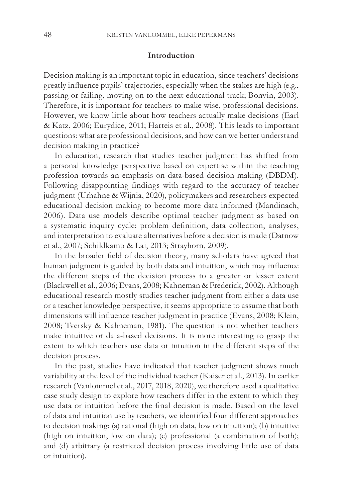#### **Introduction**

Decision making is an important topic in education, since teachers' decisions greatly influence pupils' trajectories, especially when the stakes are high (e.g., passing or failing, moving on to the next educational track; Bonvin, 2003). Therefore, it is important for teachers to make wise, professional decisions. However, we know little about how teachers actually make decisions (Earl & Katz, 2006; Eurydice, 2011; Harteis et al., 2008). This leads to important questions: what are professional decisions, and how can we better understand decision making in practice?

In education, research that studies teacher judgment has shifted from a personal knowledge perspective based on expertise within the teaching profession towards an emphasis on data-based decision making (DBDM). Following disappointing findings with regard to the accuracy of teacher judgment (Urhahne & Wijnia, 2020), policymakers and researchers expected educational decision making to become more data informed (Mandinach, 2006). Data use models describe optimal teacher judgment as based on a systematic inquiry cycle: problem definition, data collection, analyses, and interpretation to evaluate alternatives before a decision is made (Datnow et al., 2007; Schildkamp & Lai, 2013; Strayhorn, 2009).

In the broader field of decision theory, many scholars have agreed that human judgment is guided by both data and intuition, which may influence the different steps of the decision process to a greater or lesser extent (Blackwell et al., 2006; Evans, 2008; Kahneman & Frederick, 2002). Although educational research mostly studies teacher judgment from either a data use or a teacher knowledge perspective, it seems appropriate to assume that both dimensions will influence teacher judgment in practice (Evans, 2008; Klein, 2008; Tversky & Kahneman, 1981). The question is not whether teachers make intuitive or data-based decisions. It is more interesting to grasp the extent to which teachers use data or intuition in the different steps of the decision process.

In the past, studies have indicated that teacher judgment shows much variability at the level of the individual teacher (Kaiser et al., 2013). In earlier research (Vanlommel et al., 2017, 2018, 2020), we therefore used a qualitative case study design to explore how teachers differ in the extent to which they use data or intuition before the final decision is made. Based on the level of data and intuition use by teachers, we identified four different approaches to decision making: (a) rational (high on data, low on intuition); (b) intuitive (high on intuition, low on data); (c) professional (a combination of both); and (d) arbitrary (a restricted decision process involving little use of data or intuition).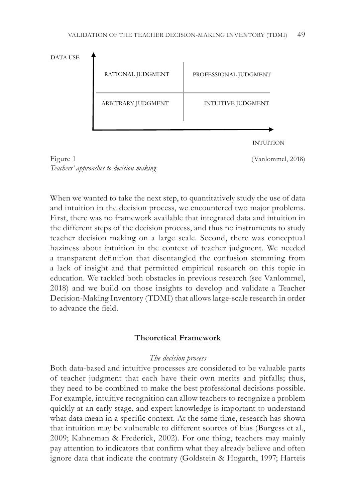



When we wanted to take the next step, to quantitatively study the use of data and intuition in the decision process, we encountered two major problems. First, there was no framework available that integrated data and intuition in the different steps of the decision process, and thus no instruments to study teacher decision making on a large scale. Second, there was conceptual haziness about intuition in the context of teacher judgment. We needed a transparent definition that disentangled the confusion stemming from a lack of insight and that permitted empirical research on this topic in education. We tackled both obstacles in previous research (see Vanlommel, 2018) and we build on those insights to develop and validate a Teacher Decision-Making Inventory (TDMI) that allows large-scale research in order to advance the field.

## **Theoretical Framework**

## *The decision process*

Both data-based and intuitive processes are considered to be valuable parts of teacher judgment that each have their own merits and pitfalls; thus, they need to be combined to make the best professional decisions possible. For example, intuitive recognition can allow teachers to recognize a problem quickly at an early stage, and expert knowledge is important to understand what data mean in a specific context. At the same time, research has shown that intuition may be vulnerable to different sources of bias (Burgess et al., 2009; Kahneman & Frederick, 2002). For one thing, teachers may mainly pay attention to indicators that confirm what they already believe and often ignore data that indicate the contrary (Goldstein & Hogarth, 1997; Harteis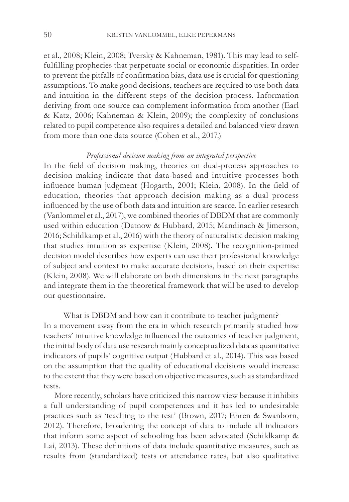et al., 2008; Klein, 2008; Tversky & Kahneman, 1981). This may lead to selffulfilling prophecies that perpetuate social or economic disparities. In order to prevent the pitfalls of confirmation bias, data use is crucial for questioning assumptions. To make good decisions, teachers are required to use both data and intuition in the different steps of the decision process. Information deriving from one source can complement information from another (Earl & Katz, 2006; Kahneman & Klein, 2009); the complexity of conclusions related to pupil competence also requires a detailed and balanced view drawn from more than one data source (Cohen et al., 2017.)

### *Professional decision making from an integrated perspective*

In the field of decision making, theories on dual-process approaches to decision making indicate that data-based and intuitive processes both influence human judgment (Hogarth, 2001; Klein, 2008). In the field of education, theories that approach decision making as a dual process influenced by the use of both data and intuition are scarce. In earlier research (Vanlommel et al., 2017), we combined theories of DBDM that are commonly used within education (Datnow & Hubbard, 2015; Mandinach & Jimerson, 2016; Schildkamp et al., 2016) with the theory of naturalistic decision making that studies intuition as expertise (Klein, 2008). The recognition-primed decision model describes how experts can use their professional knowledge of subject and context to make accurate decisions, based on their expertise (Klein, 2008). We will elaborate on both dimensions in the next paragraphs and integrate them in the theoretical framework that will be used to develop our questionnaire.

What is DBDM and how can it contribute to teacher judgment? In a movement away from the era in which research primarily studied how teachers' intuitive knowledge influenced the outcomes of teacher judgment, the initial body of data use research mainly conceptualized data as quantitative indicators of pupils' cognitive output (Hubbard et al., 2014). This was based on the assumption that the quality of educational decisions would increase to the extent that they were based on objective measures, such as standardized tests.

More recently, scholars have criticized this narrow view because it inhibits a full understanding of pupil competences and it has led to undesirable practices such as 'teaching to the test' (Brown, 2017; Ehren & Swanborn, 2012). Therefore, broadening the concept of data to include all indicators that inform some aspect of schooling has been advocated (Schildkamp & Lai, 2013). These definitions of data include quantitative measures, such as results from (standardized) tests or attendance rates, but also qualitative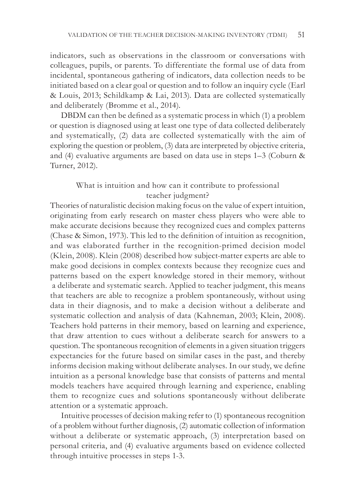indicators, such as observations in the classroom or conversations with colleagues, pupils, or parents. To differentiate the formal use of data from incidental, spontaneous gathering of indicators, data collection needs to be initiated based on a clear goal or question and to follow an inquiry cycle (Earl & Louis, 2013; Schildkamp & Lai, 2013). Data are collected systematically and deliberately (Bromme et al., 2014).

DBDM can then be defined as a systematic process in which (1) a problem or question is diagnosed using at least one type of data collected deliberately and systematically, (2) data are collected systematically with the aim of exploring the question or problem, (3) data are interpreted by objective criteria, and (4) evaluative arguments are based on data use in steps 1–3 (Coburn & Turner, 2012).

# What is intuition and how can it contribute to professional teacher judgment?

Theories of naturalistic decision making focus on the value of expert intuition, originating from early research on master chess players who were able to make accurate decisions because they recognized cues and complex patterns (Chase & Simon, 1973). This led to the definition of intuition as recognition, and was elaborated further in the recognition-primed decision model (Klein, 2008). Klein (2008) described how subject-matter experts are able to make good decisions in complex contexts because they recognize cues and patterns based on the expert knowledge stored in their memory, without a deliberate and systematic search. Applied to teacher judgment, this means that teachers are able to recognize a problem spontaneously, without using data in their diagnosis, and to make a decision without a deliberate and systematic collection and analysis of data (Kahneman, 2003; Klein, 2008). Teachers hold patterns in their memory, based on learning and experience, that draw attention to cues without a deliberate search for answers to a question. The spontaneous recognition of elements in a given situation triggers expectancies for the future based on similar cases in the past, and thereby informs decision making without deliberate analyses. In our study, we define intuition as a personal knowledge base that consists of patterns and mental models teachers have acquired through learning and experience, enabling them to recognize cues and solutions spontaneously without deliberate attention or a systematic approach.

Intuitive processes of decision making refer to (1) spontaneous recognition of a problem without further diagnosis, (2) automatic collection of information without a deliberate or systematic approach, (3) interpretation based on personal criteria, and (4) evaluative arguments based on evidence collected through intuitive processes in steps 1-3.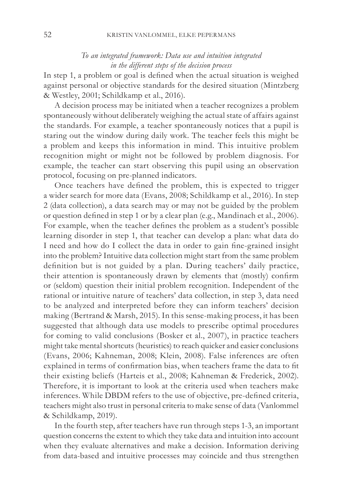## *To an integrated framework: Data use and intuition integrated in the different steps of the decision process*

In step 1, a problem or goal is defined when the actual situation is weighed against personal or objective standards for the desired situation (Mintzberg & Westley, 2001; Schildkamp et al., 2016).

A decision process may be initiated when a teacher recognizes a problem spontaneously without deliberately weighing the actual state of affairs against the standards. For example, a teacher spontaneously notices that a pupil is staring out the window during daily work. The teacher feels this might be a problem and keeps this information in mind. This intuitive problem recognition might or might not be followed by problem diagnosis. For example, the teacher can start observing this pupil using an observation protocol, focusing on pre-planned indicators.

Once teachers have defined the problem, this is expected to trigger a wider search for more data (Evans, 2008; Schildkamp et al., 2016). In step 2 (data collection), a data search may or may not be guided by the problem or question defined in step 1 or by a clear plan (e.g., Mandinach et al., 2006). For example, when the teacher defines the problem as a student's possible learning disorder in step 1, that teacher can develop a plan: what data do I need and how do I collect the data in order to gain fine-grained insight into the problem? Intuitive data collection might start from the same problem definition but is not guided by a plan. During teachers' daily practice, their attention is spontaneously drawn by elements that (mostly) confirm or (seldom) question their initial problem recognition. Independent of the rational or intuitive nature of teachers' data collection, in step 3, data need to be analyzed and interpreted before they can inform teachers' decision making (Bertrand & Marsh, 2015). In this sense-making process, it has been suggested that although data use models to prescribe optimal procedures for coming to valid conclusions (Bosker et al., 2007), in practice teachers might take mental shortcuts (heuristics) to reach quicker and easier conclusions (Evans, 2006; Kahneman, 2008; Klein, 2008). False inferences are often explained in terms of confirmation bias, when teachers frame the data to fit their existing beliefs (Harteis et al., 2008; Kahneman & Frederick, 2002). Therefore, it is important to look at the criteria used when teachers make inferences. While DBDM refers to the use of objective, pre-defined criteria, teachers might also trust in personal criteria to make sense of data (Vanlommel & Schildkamp, 2019).

In the fourth step, after teachers have run through steps 1-3, an important question concerns the extent to which they take data and intuition into account when they evaluate alternatives and make a decision. Information deriving from data-based and intuitive processes may coincide and thus strengthen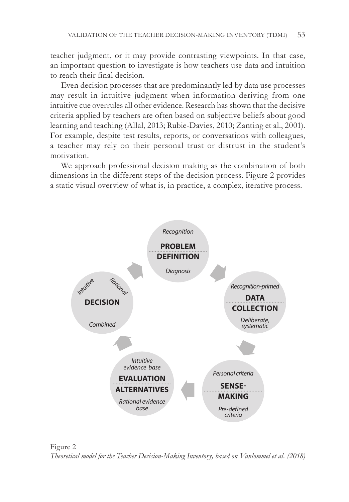teacher judgment, or it may provide contrasting viewpoints. In that case, an important question to investigate is how teachers use data and intuition to reach their final decision.

Even decision processes that are predominantly led by data use processes may result in intuitive judgment when information deriving from one intuitive cue overrules all other evidence. Research has shown that the decisive criteria applied by teachers are often based on subjective beliefs about good learning and teaching (Allal, 2013; Rubie-Davies, 2010; Zanting et al., 2001). For example, despite test results, reports, or conversations with colleagues, a teacher may rely on their personal trust or distrust in the student's motivation.

We approach professional decision making as the combination of both dimensions in the different steps of the decision process. Figure 2 provides a static visual overview of what is, in practice, a complex, iterative process.



Figure 2 *Theoretical model for the Teacher Decision-Making Inventory, based on Vanlommel et al. (2018)*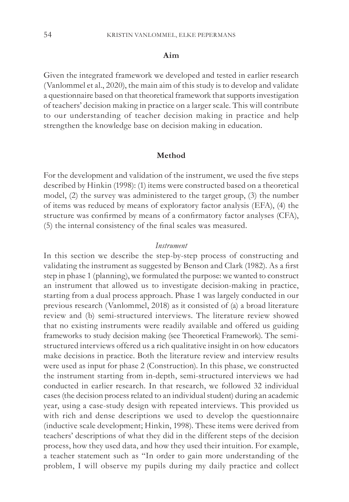## **Aim**

Given the integrated framework we developed and tested in earlier research (Vanlommel et al., 2020), the main aim of this study is to develop and validate a questionnaire based on that theoretical framework that supports investigation of teachers' decision making in practice on a larger scale. This will contribute to our understanding of teacher decision making in practice and help strengthen the knowledge base on decision making in education.

#### **Method**

For the development and validation of the instrument, we used the five steps described by Hinkin (1998): (1) items were constructed based on a theoretical model, (2) the survey was administered to the target group, (3) the number of items was reduced by means of exploratory factor analysis (EFA), (4) the structure was confirmed by means of a confirmatory factor analyses (CFA), (5) the internal consistency of the final scales was measured.

## *Instrument*

In this section we describe the step-by-step process of constructing and validating the instrument as suggested by Benson and Clark (1982). As a first step in phase 1 (planning), we formulated the purpose: we wanted to construct an instrument that allowed us to investigate decision-making in practice, starting from a dual process approach. Phase 1 was largely conducted in our previous research (Vanlommel, 2018) as it consisted of (a) a broad literature review and (b) semi-structured interviews. The literature review showed that no existing instruments were readily available and offered us guiding frameworks to study decision making (see Theoretical Framework). The semistructured interviews offered us a rich qualitative insight in on how educators make decisions in practice. Both the literature review and interview results were used as input for phase 2 (Construction). In this phase, we constructed the instrument starting from in-depth, semi-structured interviews we had conducted in earlier research. In that research, we followed 32 individual cases (the decision process related to an individual student) during an academic year, using a case-study design with repeated interviews. This provided us with rich and dense descriptions we used to develop the questionnaire (inductive scale development; Hinkin, 1998). These items were derived from teachers' descriptions of what they did in the different steps of the decision process, how they used data, and how they used their intuition. For example, a teacher statement such as "In order to gain more understanding of the problem, I will observe my pupils during my daily practice and collect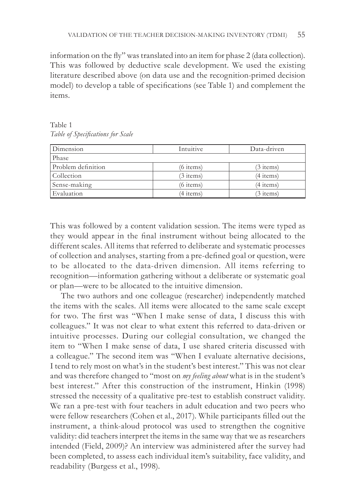information on the fly" was translated into an item for phase 2 (data collection). This was followed by deductive scale development. We used the existing literature described above (on data use and the recognition-primed decision model) to develop a table of specifications (see Table 1) and complement the items.

Table 1 *Table of Specifications for Scale*

| Dimension          | Intuitive   | Data-driven |
|--------------------|-------------|-------------|
| Phase              |             |             |
| Problem definition | $(6$ items) | (3 items)   |
| Collection         | $(3$ items) | (4 items)   |
| Sense-making       | $(6$ items) | (4 items)   |
| Evaluation         | (4 items)   | 3 items)    |

This was followed by a content validation session. The items were typed as they would appear in the final instrument without being allocated to the different scales. All items that referred to deliberate and systematic processes of collection and analyses, starting from a pre-defined goal or question, were to be allocated to the data-driven dimension. All items referring to recognition—information gathering without a deliberate or systematic goal or plan—were to be allocated to the intuitive dimension.

The two authors and one colleague (researcher) independently matched the items with the scales. All items were allocated to the same scale except for two. The first was "When I make sense of data, I discuss this with colleagues." It was not clear to what extent this referred to data-driven or intuitive processes. During our collegial consultation, we changed the item to "When I make sense of data, I use shared criteria discussed with a colleague." The second item was "When I evaluate alternative decisions, I tend to rely most on what's in the student's best interest." This was not clear and was therefore changed to "most on *my feeling about* what is in the student's best interest." After this construction of the instrument, Hinkin (1998) stressed the necessity of a qualitative pre-test to establish construct validity. We ran a pre-test with four teachers in adult education and two peers who were fellow researchers (Cohen et al., 2017). While participants filled out the instrument, a think-aloud protocol was used to strengthen the cognitive validity: did teachers interpret the items in the same way that we as researchers intended (Field, 2009)? An interview was administered after the survey had been completed, to assess each individual item's suitability, face validity, and readability (Burgess et al., 1998).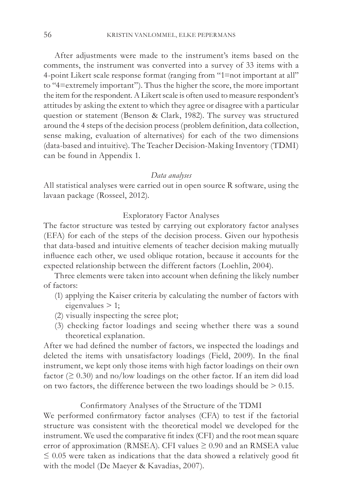After adjustments were made to the instrument's items based on the comments, the instrument was converted into a survey of 33 items with a 4-point Likert scale response format (ranging from "1=not important at all" to "4=extremely important"). Thus the higher the score, the more important the item for the respondent. A Likert scale is often used to measure respondent's attitudes by asking the extent to which they agree or disagree with a particular question or statement (Benson & Clark, 1982). The survey was structured around the 4 steps of the decision process (problem definition, data collection, sense making, evaluation of alternatives) for each of the two dimensions (data-based and intuitive). The Teacher Decision-Making Inventory (TDMI) can be found in Appendix 1.

#### *Data analyses*

All statistical analyses were carried out in open source R software, using the lavaan package (Rosseel, 2012).

## Exploratory Factor Analyses

The factor structure was tested by carrying out exploratory factor analyses (EFA) for each of the steps of the decision process. Given our hypothesis that data-based and intuitive elements of teacher decision making mutually influence each other, we used oblique rotation, because it accounts for the expected relationship between the different factors (Loehlin, 2004).

Three elements were taken into account when defining the likely number of factors:

- (1) applying the Kaiser criteria by calculating the number of factors with eigenvalues > 1;
- (2) visually inspecting the scree plot;
- (3) checking factor loadings and seeing whether there was a sound theoretical explanation.

After we had defined the number of factors, we inspected the loadings and deleted the items with unsatisfactory loadings (Field, 2009). In the final instrument, we kept only those items with high factor loadings on their own factor ( $\geq 0.30$ ) and no/low loadings on the other factor. If an item did load on two factors, the difference between the two loadings should be  $> 0.15$ .

### Confirmatory Analyses of the Structure of the TDMI

We performed confirmatory factor analyses (CFA) to test if the factorial structure was consistent with the theoretical model we developed for the instrument. We used the comparative fit index (CFI) and the root mean square error of approximation (RMSEA). CFI values  $\geq 0.90$  and an RMSEA value  $\leq 0.05$  were taken as indications that the data showed a relatively good fit with the model (De Maeyer & Kavadias, 2007).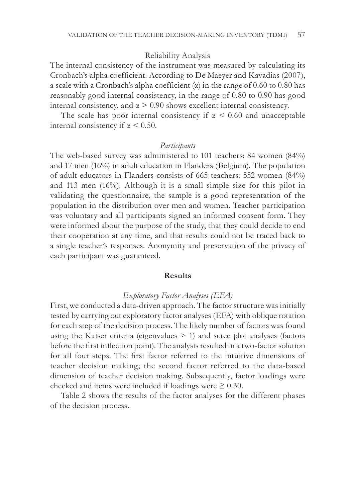#### Reliability Analysis

The internal consistency of the instrument was measured by calculating its Cronbach's alpha coefficient. According to De Maeyer and Kavadias (2007), a scale with a Cronbach's alpha coefficient  $(\alpha)$  in the range of 0.60 to 0.80 has reasonably good internal consistency, in the range of 0.80 to 0.90 has good internal consistency, and  $\alpha > 0.90$  shows excellent internal consistency.

The scale has poor internal consistency if  $\alpha \leq 0.60$  and unacceptable internal consistency if  $\alpha$  < 0.50.

#### *Participants*

The web-based survey was administered to 101 teachers: 84 women (84%) and 17 men (16%) in adult education in Flanders (Belgium). The population of adult educators in Flanders consists of 665 teachers: 552 women (84%) and 113 men (16%). Although it is a small simple size for this pilot in validating the questionnaire, the sample is a good representation of the population in the distribution over men and women. Teacher participation was voluntary and all participants signed an informed consent form. They were informed about the purpose of the study, that they could decide to end their cooperation at any time, and that results could not be traced back to a single teacher's responses. Anonymity and preservation of the privacy of each participant was guaranteed.

### **Results**

#### *Exploratory Factor Analyses (EFA)*

First, we conducted a data-driven approach. The factor structure was initially tested by carrying out exploratory factor analyses (EFA) with oblique rotation for each step of the decision process. The likely number of factors was found using the Kaiser criteria (eigenvalues  $> 1$ ) and scree plot analyses (factors before the first inflection point). The analysis resulted in a two-factor solution for all four steps. The first factor referred to the intuitive dimensions of teacher decision making; the second factor referred to the data-based dimension of teacher decision making. Subsequently, factor loadings were checked and items were included if loadings were  $\geq 0.30$ .

Table 2 shows the results of the factor analyses for the different phases of the decision process.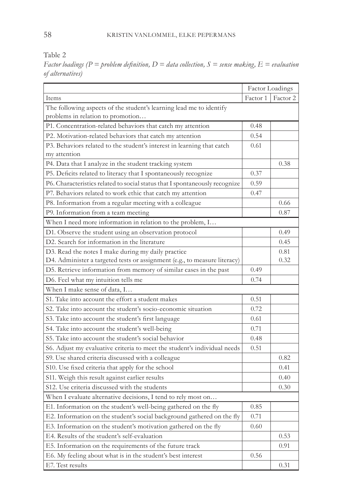Table 2

*Factor loadings (P = problem definition, D = data collection, S = sense making, E = evaluation of alternatives)*

|                                                                             | Factor Loadings |          |  |  |  |
|-----------------------------------------------------------------------------|-----------------|----------|--|--|--|
| Items                                                                       | Factor 1        | Factor 2 |  |  |  |
| The following aspects of the student's learning lead me to identify         |                 |          |  |  |  |
| problems in relation to promotion                                           |                 |          |  |  |  |
| P1. Concentration-related behaviors that catch my attention                 |                 |          |  |  |  |
| P2. Motivation-related behaviors that catch my attention                    |                 |          |  |  |  |
| P3. Behaviors related to the student's interest in learning that catch      |                 |          |  |  |  |
| my attention                                                                |                 |          |  |  |  |
| P4. Data that I analyze in the student tracking system                      |                 | 0.38     |  |  |  |
| P5. Deficits related to literacy that I spontaneously recognize             | 0.37            |          |  |  |  |
| P6. Characteristics related to social status that I spontaneously recognize | 0.59            |          |  |  |  |
| P7. Behaviors related to work ethic that catch my attention                 | 0.47            |          |  |  |  |
| P8. Information from a regular meeting with a colleague                     |                 | 0.66     |  |  |  |
| P9. Information from a team meeting                                         |                 | 0.87     |  |  |  |
| When I need more information in relation to the problem, I                  |                 |          |  |  |  |
| D1. Observe the student using an observation protocol                       |                 | 0.49     |  |  |  |
| D2. Search for information in the literature                                |                 | 0.45     |  |  |  |
| D3. Read the notes I make during my daily practice                          |                 | 0.81     |  |  |  |
| D4. Administer a targeted tests or assignment (e.g., to measure literacy)   |                 | 0.32     |  |  |  |
| D5. Retrieve information from memory of similar cases in the past           | 0.49            |          |  |  |  |
| D6. Feel what my intuition tells me                                         | 0.74            |          |  |  |  |
| When I make sense of data, I                                                |                 |          |  |  |  |
| S1. Take into account the effort a student makes                            | 0.51            |          |  |  |  |
| S2. Take into account the student's socio-economic situation                |                 |          |  |  |  |
| S3. Take into account the student's first language                          | 0.61            |          |  |  |  |
| S4. Take into account the student's well-being                              |                 |          |  |  |  |
| S5. Take into account the student's social behavior                         |                 |          |  |  |  |
| S6. Adjust my evaluative criteria to meet the student's individual needs    | 0.51            |          |  |  |  |
| S9. Use shared criteria discussed with a colleague                          |                 | 0.82     |  |  |  |
| S10. Use fixed criteria that apply for the school                           |                 | 0.41     |  |  |  |
| S11. Weigh this result against earlier results                              |                 | 0.40     |  |  |  |
| S12. Use criteria discussed with the students                               |                 | 0.30     |  |  |  |
| When I evaluate alternative decisions, I tend to rely most on               |                 |          |  |  |  |
| E1. Information on the student's well-being gathered on the fly             | 0.85            |          |  |  |  |
| E2. Information on the student's social background gathered on the fly      |                 |          |  |  |  |
| E3. Information on the student's motivation gathered on the fly             |                 |          |  |  |  |
| E4. Results of the student's self-evaluation                                |                 | 0.53     |  |  |  |
| E5. Information on the requirements of the future track                     |                 | 0.91     |  |  |  |
| E6. My feeling about what is in the student's best interest                 | 0.56            |          |  |  |  |
| E7. Test results                                                            |                 | 0.31     |  |  |  |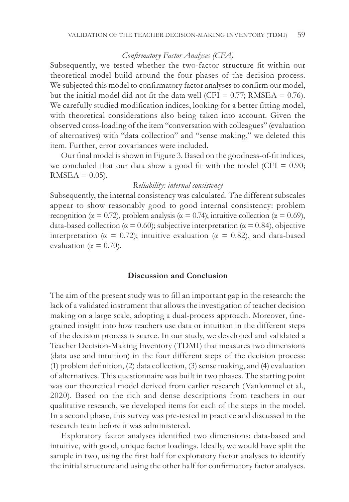#### *Confirmatory Factor Analyses (CFA)*

Subsequently, we tested whether the two-factor structure fit within our theoretical model build around the four phases of the decision process. We subjected this model to confirmatory factor analyses to confirm our model, but the initial model did not fit the data well (CFI =  $0.77$ ; RMSEA = 0.76). We carefully studied modification indices, looking for a better fitting model, with theoretical considerations also being taken into account. Given the observed cross-loading of the item "conversation with colleagues" (evaluation of alternatives) with "data collection" and "sense making," we deleted this item. Further, error covariances were included.

Our final model is shown in Figure 3. Based on the goodness-of-fit indices, we concluded that our data show a good fit with the model (CFI  $= 0.90$ ;  $RMSEA = 0.05$ .

#### *Reliability: internal consistency*

Subsequently, the internal consistency was calculated. The different subscales appear to show reasonably good to good internal consistency: problem recognition ( $\alpha = 0.72$ ), problem analysis ( $\alpha = 0.74$ ); intuitive collection ( $\alpha = 0.69$ ), data-based collection ( $\alpha = 0.60$ ); subjective interpretation ( $\alpha = 0.84$ ), objective interpretation ( $\alpha = 0.72$ ); intuitive evaluation ( $\alpha = 0.82$ ), and data-based evaluation ( $\alpha = 0.70$ ).

## **Discussion and Conclusion**

The aim of the present study was to fill an important gap in the research: the lack of a validated instrument that allows the investigation of teacher decision making on a large scale, adopting a dual-process approach. Moreover, finegrained insight into how teachers use data or intuition in the different steps of the decision process is scarce. In our study, we developed and validated a Teacher Decision-Making Inventory (TDMI) that measures two dimensions (data use and intuition) in the four different steps of the decision process: (1) problem definition, (2) data collection, (3) sense making, and (4) evaluation of alternatives. This questionnaire was built in two phases. The starting point was our theoretical model derived from earlier research (Vanlommel et al., 2020). Based on the rich and dense descriptions from teachers in our qualitative research, we developed items for each of the steps in the model. In a second phase, this survey was pre-tested in practice and discussed in the research team before it was administered.

Exploratory factor analyses identified two dimensions: data-based and intuitive, with good, unique factor loadings. Ideally, we would have split the sample in two, using the first half for exploratory factor analyses to identify the initial structure and using the other half for confirmatory factor analyses.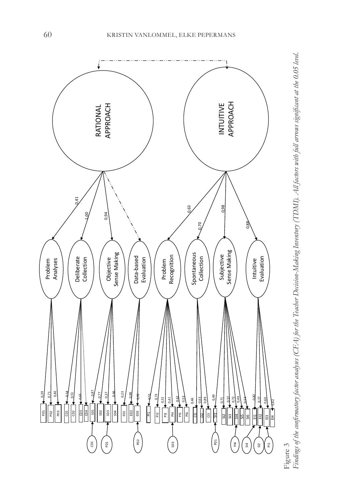

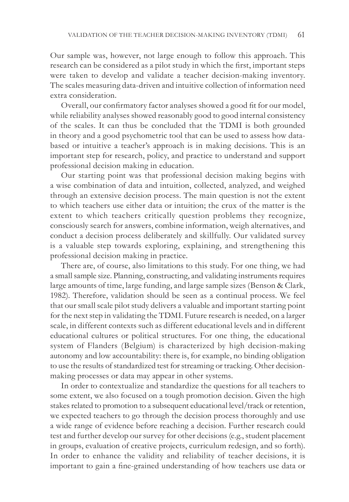Our sample was, however, not large enough to follow this approach. This research can be considered as a pilot study in which the first, important steps were taken to develop and validate a teacher decision-making inventory. The scales measuring data-driven and intuitive collection of information need extra consideration.

Overall, our confirmatory factor analyses showed a good fit for our model, while reliability analyses showed reasonably good to good internal consistency of the scales. It can thus be concluded that the TDMI is both grounded in theory and a good psychometric tool that can be used to assess how databased or intuitive a teacher's approach is in making decisions. This is an important step for research, policy, and practice to understand and support professional decision making in education.

Our starting point was that professional decision making begins with a wise combination of data and intuition, collected, analyzed, and weighed through an extensive decision process. The main question is not the extent to which teachers use either data or intuition; the crux of the matter is the extent to which teachers critically question problems they recognize, consciously search for answers, combine information, weigh alternatives, and conduct a decision process deliberately and skillfully. Our validated survey is a valuable step towards exploring, explaining, and strengthening this professional decision making in practice.

There are, of course, also limitations to this study. For one thing, we had a small sample size. Planning, constructing, and validating instruments requires large amounts of time, large funding, and large sample sizes (Benson & Clark, 1982). Therefore, validation should be seen as a continual process. We feel that our small scale pilot study delivers a valuable and important starting point for the next step in validating the TDMI. Future research is needed, on a larger scale, in different contexts such as different educational levels and in different educational cultures or political structures. For one thing, the educational system of Flanders (Belgium) is characterized by high decision-making autonomy and low accountability: there is, for example, no binding obligation to use the results of standardized test for streaming or tracking. Other decisionmaking processes or data may appear in other systems.

In order to contextualize and standardize the questions for all teachers to some extent, we also focused on a tough promotion decision. Given the high stakes related to promotion to a subsequent educational level/track or retention, we expected teachers to go through the decision process thoroughly and use a wide range of evidence before reaching a decision. Further research could test and further develop our survey for other decisions (e.g., student placement in groups, evaluation of creative projects, curriculum redesign, and so forth). In order to enhance the validity and reliability of teacher decisions, it is important to gain a fine-grained understanding of how teachers use data or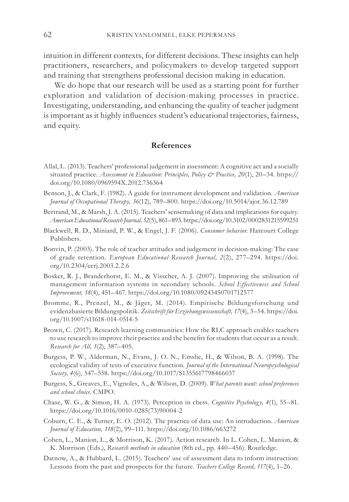intuition in different contexts, for different decisions. These insights can help practitioners, researchers, and policymakers to develop targeted support and training that strengthens professional decision making in education.

We do hope that our research will be used as a starting point for further exploration and validation of decision-making processes in practice. Investigating, understanding, and enhancing the quality of teacher judgment is important as it highly influences student's educational trajectories, fairness, and equity.

#### **References**

- Allal, L. (2013). Teachers' professional judgement in assessment: A cognitive act and a socially situated practice. *Assessment in Education: Principles, Policy & Practice, 20*(1), 20–34. https:// doi.org/10.1080/0969594X.2012.736364
- Benson, J., & Clark, F. (1982). A guide for instrument development and validation*. American Journal of Occupational Therapy, 36*(12), 789–800. https://doi.org/10.5014/ajot.36.12.789
- Bertrand, M., & Marsh, J. A. (2015). Teachers' sensemaking of data and implications for equity. *American Educational Research Journal, 52*(5), 861–893. https://doi.org/10.3102/0002831215599251
- Blackwell, R. D., Miniard, P. W., & Engel, J. F. (2006). *Consumer behavior*. Harcourt College Publishers.
- Bonvin, P. (2003). The role of teacher attitudes and judgement in decision-making: The case of grade retention. *European Educational Research Journal, 2*(2), 277–294. https://doi. org/10.2304/eerj.2003.2.2.6
- Bosker, R. J., Branderhorst, E. M., & Visscher, A. J. (2007). Improving the utilisation of management information systems in secondary schools. *School Effectiveness and School Improvement, 18*(4), 451–467. https://doi.org/10.1080/09243450701712577
- Bromme, R., Prenzel, M., & Jäger, M. (2014). Empirische Bildungsforschung und evidenzbasierte Bildungspolitik. *Zeitschrift für Erziehungswissenschaft, 17*(4), 3–54. https://doi. org/10.1007/s11618-014-0514-5
- Brown, C. (2017). Research learning communities: How the RLC approach enables teachers to use research to improve their practice and the benefits for students that occur as a result. *Research for All, 1*(2), 387–405.
- Burgess, P. W., Alderman, N., Evans, J. O. N., Emslie, H., & Wilson, B. A. (1998). The ecological validity of tests of executive function. *Journal of the International Neuropsychological Society, 4*(6), 547–558. https://doi.org/10.1017/S1355617798466037
- Burgess, S., Greaves, E., Vignoles, A., & Wilson, D. (2009). *What parents want: school preferences and school choice*. CMPO.
- Chase, W. G., & Simon, H. A. (1973). Perception in chess. *Cognitive Psycholog y, 4*(1), 55–81. https://doi.org/10.1016/0010-0285(73)90004-2
- Coburn, C. E., & Turner, E. O. (2012). The practice of data use: An introduction. *American Journal of Education, 118*(2), 99–111. https://doi.org/10.1086/663272
- Cohen, L., Manion, L., & Morrison, K. (2017). Action research. In L. Cohen, L. Manion, & K. Morrison (Eds.), *Research methods in education* (8th ed., pp. 440–456). Routledge.
- Datnow, A., & Hubbard, L. (2015). Teachers' use of assessment data to inform instruction: Lessons from the past and prospects for the future. *Teachers College Record, 117*(4), 1–26.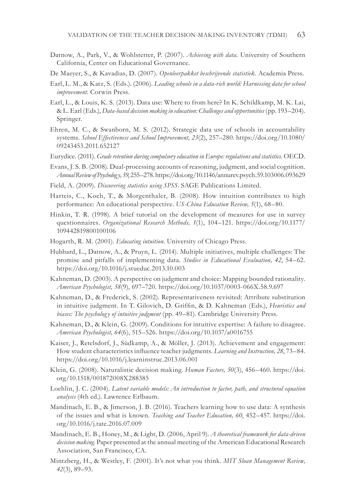Datnow, A., Park, V., & Wohlstetter, P. (2007). *Achieving with data.* University of Southern California, Center on Educational Governance.

De Maeyer, S., & Kavadias, D. (2007). *Openleerpakket beschrijvende statistiek*. Academia Press.

- Earl, L. M., & Katz, S. (Eds.). (2006). *Leading schools in a data-rich world: Harnessing data for school improvement*. Corwin Press.
- Earl, L., & Louis, K. S. (2013). Data use: Where to from here? In K. Schildkamp, M. K. Lai, & L. Earl (Eds.), *Data-based decision making in education: Challenges and opportunities* (pp. 193–204). Springer.
- Ehren, M. C., & Swanborn, M. S. (2012). Strategic data use of schools in accountability systems. *School Effectiveness and School Improvement, 23*(2), 257–280. https://doi.org/10.1080/ 09243453.2011.652127
- Eurydice. (2011). *Grade retention during compulsory education in Europe: regulations and statistics.* OECD.
- Evans, J. S. B. (2008). Dual-processing accounts of reasoning, judgment, and social cognition. *Annual Review of Psychology, 59*, 255–278. https://doi.org/10.1146/annurev.psych.59.103006.093629
- Field, A. (2009). *Discovering statistics using SPSS*. SAGE Publications Limited.
- Harteis, C., Koch, T., & Morgenthaler, B. (2008). How intuition contributes to high performance: An educational perspective. *US-China Education Review, 5*(1), 68–80.
- Hinkin, T. R. (1998). A brief tutorial on the development of measures for use in survey questionnaires. *Organizational Research Methods, 1*(1), 104–121. https://doi.org/10.1177/ 109442819800100106
- Hogarth, R. M. (2001). *Educating intuition*. University of Chicago Press.
- Hubbard, L., Datnow, A., & Pruyn, L. (2014). Multiple initiatives, multiple challenges: The promise and pitfalls of implementing data. *Studies in Educational Evaluation, 42*, 54–62. https://doi.org/10.1016/j.stueduc.2013.10.003
- Kahneman, D. (2003). A perspective on judgment and choice: Mapping bounded rationality. *American Psychologist, 58*(9), 697–720. https://doi.org/10.1037/0003-066X.58.9.697
- Kahneman, D., & Frederick, S. (2002). Representativeness revisited: Attribute substitution in intuitive judgment. In T. Gilovich, D. Griffin, & D. Kahneman (Eds.), *Heuristics and*  biases: The psychology of intuitive judgment (pp. 49-81). Cambridge University Press.
- Kahneman, D., & Klein, G. (2009). Conditions for intuitive expertise: A failure to disagree. *American Psychologist, 64*(6), 515–526. https://doi.org/10.1037/a0016755
- Kaiser, J., Retelsdorf, J., Südkamp, A., & Möller, J. (2013). Achievement and engagement: How student characteristics influence teacher judgments. *Learning and Instruction, 28*, 73–84. https://doi.org/10.1016/j.learninstruc.2013.06.001
- Klein, G. (2008). Naturalistic decision making. *Human Factors, 50*(3), 456–460. https://doi. org/10.1518/001872008X288385
- Loehlin, J. C. (2004). *Latent variable models: An introduction to factor, path, and structural equation analysis* (4th ed.). Lawrence Erlbaum.
- Mandinach, E. B., & Jimerson, J. B. (2016). Teachers learning how to use data: A synthesis of the issues and what is known. *Teaching and Teacher Education, 60*, 452–457. https://doi. org/10.1016/j.tate.2016.07.009
- Mandinach, E. B., Honey, M., & Light, D. (2006, April 9). *A theoretical framework for data-driven decision making.* Paper presented at the annual meeting of the American Educational Research Association, San Francisco, CA.
- Mintzberg, H., & Westley, F. (2001). It's not what you think. *MIT Sloan Management Review, 42*(3), 89–93.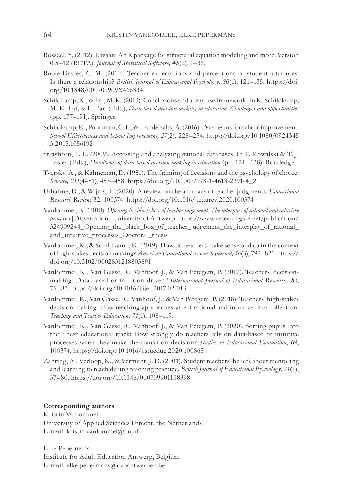- Rosseel, Y. (2012). Lavaan: An R package for structural equation modeling and more. Version 0.5–12 (BETA). *Journal of Statistical Software, 48*(2), 1–36.
- Rubie-Davies, C. M. (2010). Teacher expectations and perceptions of student attributes: Is there a relationship? *British Journal of Educational Psycholog y, 80*(1), 121–135. https://doi. org/10.1348/000709909X466334
- Schildkamp, K., & Lai, M. K. (2013). Conclusions and a data use framework. In K. Schildkamp, M. K. Lai, & L. Earl (Eds.), *Data-based decision making in education: Challenges and opportunities* (pp. 177–191). Springer.
- Schildkamp, K., Poortman, C. L., & Handelzalts, A. (2016). Data teams for school improvement. *School Effectiveness and School Improvement, 27*(2), 228–254. https://doi.org/10.1080/0924345 3.2015.1056192
- Strayhorn, T. L. (2009). Accessing and analyzing national databases. In T. Kowalski & T. J. Lasley (Eds.), *Handbook of data-based decision making in education* (pp. 121– 138). Routledge.
- Tversky, A., & Kahneman, D. (1981). The framing of decisions and the psychology of choice. *Science, 211*(4481), 453–458. https://doi.org/10.1007/978-1-4613-2391-4\_2
- Urhahne, D., & Wijnia, L. (2020). A review on the accuracy of teacher judgments. *Educational Research Review*, 32, 100374. https://doi.org/10.1016/j.edurev.2020.100374
- Vanlommel, K. (2018). *Opening the black box of teacher judgement: The interplay of rational and intuitive processes* [Dissertation]. University of Antwerp. https://www.researchgate.net/publication/ 324909244\_Opening\_the\_black\_box\_of\_teacher\_judgement\_the\_interplay\_of\_rational\_ and\_intuitive\_processes\_Doctoral\_thesis
- Vanlommel, K., & Schildkamp, K. (2019). How do teachers make sense of data in the context of high-stakes decision making? *American Educational Research Journal, 56*(3), 792–821. https:// doi.org/10.3102/0002831218803891
- Vanlommel, K., Van Gasse, R., Vanhoof, J., & Van Petegem, P. (2017). Teachers' decisionmaking: Data based or intuition driven*? International Journal of Educational Research, 83*, 75–83. https://doi.org/10.1016/j.ijer.2017.02.013
- Vanlommel, K., Van Gasse, R., Vanhoof, J., & Van Petegem, P. (2018). Teachers' high-stakes decision making. How teaching approaches affect rational and intuitive data collection. *Teaching and Teacher Education, 71*(1), 108–119.
- Vanlommel, K., Van Gasse, R., Vanhoof, J., & Van Petegem, P. (2020). Sorting pupils into their next educational track: How strongly do teachers rely on data-based or intuitive processes when they make the transition decision? *Studies in Educational Evaluation*, 69, 100374. https://doi.org/10.1016/j.stueduc.2020.100865
- Zanting, A., Verloop, N., & Vermunt, J. D. (2001). Student teachers' beliefs about mentoring and learning to teach during teaching practice. *British Journal of Educational Psycholog y, 71*(1), 57–80. https://doi.org/10.1348/000709901158398

#### **Corresponding authors**

Kristin Vanlommel University of Applied Sciences Utrecht, the Netherlands E-mail: kristin.vanlommel@hu.nl

Elke Pepermans Institute for Adult Education Antwerp, Belgium E-mail: elke.pepermans@cvoantwerpen.be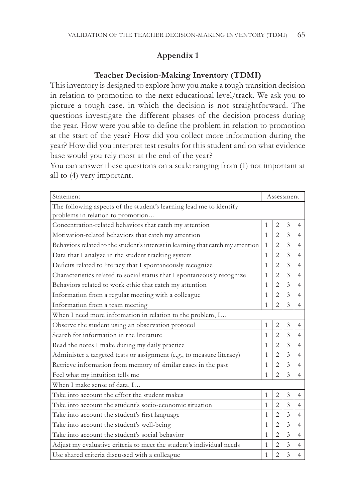# **Appendix 1**

## **Teacher Decision-Making Inventory (TDMI)**

This inventory is designed to explore how you make a tough transition decision in relation to promotion to the next educational level/track. We ask you to picture a tough case, in which the decision is not straightforward. The questions investigate the different phases of the decision process during the year. How were you able to define the problem in relation to promotion at the start of the year? How did you collect more information during the year? How did you interpret test results for this student and on what evidence base would you rely most at the end of the year?

You can answer these questions on a scale ranging from (1) not important at all to (4) very important.

| Statement                                                                                                |   | Assessment     |               |                |  |
|----------------------------------------------------------------------------------------------------------|---|----------------|---------------|----------------|--|
| The following aspects of the student's learning lead me to identify<br>problems in relation to promotion |   |                |               |                |  |
| Concentration-related behaviors that catch my attention                                                  |   | $\overline{2}$ | 3             | 4              |  |
| Motivation-related behaviors that catch my attention                                                     |   | $\overline{2}$ | 3             | 4              |  |
| Behaviors related to the student's interest in learning that catch my attention                          |   | $\overline{2}$ | 3             | $\overline{4}$ |  |
| Data that I analyze in the student tracking system                                                       |   | $\overline{2}$ | 3             | $\overline{4}$ |  |
| Deficits related to literacy that I spontaneously recognize                                              |   | $\mathfrak{D}$ | 3             | $\overline{4}$ |  |
| Characteristics related to social status that I spontaneously recognize                                  |   | $\overline{2}$ | 3             | $\overline{4}$ |  |
| Behaviors related to work ethic that catch my attention                                                  |   | $\overline{2}$ | 3             | $\overline{4}$ |  |
| Information from a regular meeting with a colleague                                                      | 1 | $\mathfrak{D}$ | 3             | $\overline{4}$ |  |
| Information from a team meeting                                                                          |   | $\overline{2}$ | 3             | $\overline{4}$ |  |
| When I need more information in relation to the problem, I                                               |   |                |               |                |  |
| Observe the student using an observation protocol                                                        | 1 | $\overline{2}$ | 3             | $\overline{4}$ |  |
| Search for information in the literature                                                                 |   | $\overline{2}$ | 3             | $\overline{4}$ |  |
| Read the notes I make during my daily practice                                                           |   | $\overline{2}$ | 3             | $\overline{4}$ |  |
| Administer a targeted tests or assignment (e.g., to measure literacy)                                    |   | $\mathfrak{D}$ | $\mathcal{E}$ | $\overline{4}$ |  |
| Retrieve information from memory of similar cases in the past                                            |   | $\overline{2}$ | 3             | $\overline{4}$ |  |
| Feel what my intuition tells me                                                                          |   | $\mathfrak{D}$ | 3             | 4              |  |
| When I make sense of data, I                                                                             |   |                |               |                |  |
| Take into account the effort the student makes                                                           | 1 | $\overline{2}$ | 3             | $\overline{4}$ |  |
| Take into account the student's socio-economic situation                                                 |   | $\mathfrak{D}$ | 3             | $\overline{4}$ |  |
| Take into account the student's first language                                                           |   | $\overline{2}$ | 3             | $\overline{4}$ |  |
| Take into account the student's well-being                                                               |   | $\overline{2}$ | 3             | $\overline{4}$ |  |
| Take into account the student's social behavior                                                          |   | $\mathfrak{D}$ | 3             | $\overline{4}$ |  |
| Adjust my evaluative criteria to meet the student's individual needs                                     |   | $\overline{2}$ | 3             | $\overline{4}$ |  |
| Use shared criteria discussed with a colleague                                                           |   | $\overline{2}$ | 3             | 4              |  |